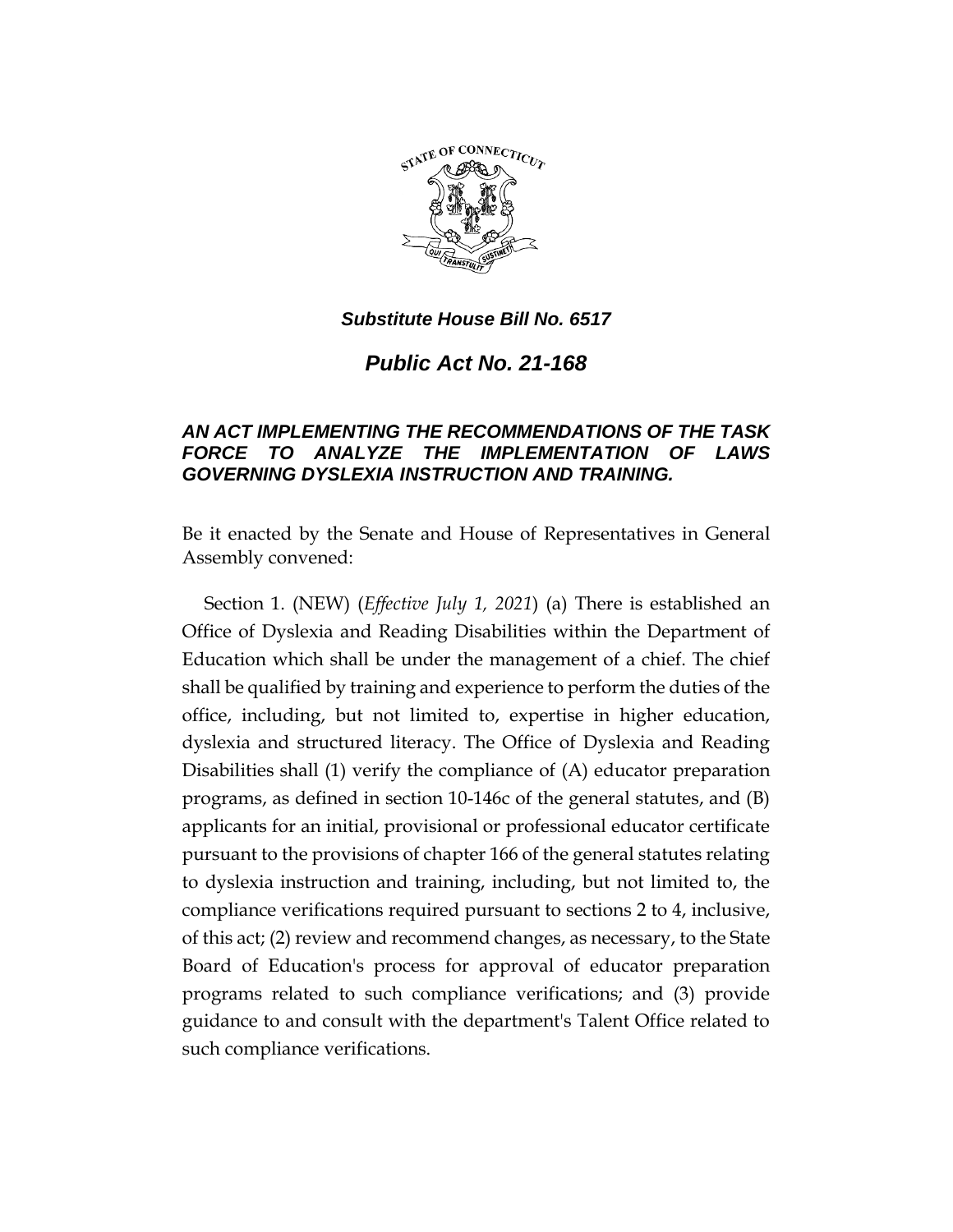

*Public Act No. 21-168*

# *AN ACT IMPLEMENTING THE RECOMMENDATIONS OF THE TASK FORCE TO ANALYZE THE IMPLEMENTATION OF LAWS GOVERNING DYSLEXIA INSTRUCTION AND TRAINING.*

Be it enacted by the Senate and House of Representatives in General Assembly convened:

Section 1. (NEW) (*Effective July 1, 2021*) (a) There is established an Office of Dyslexia and Reading Disabilities within the Department of Education which shall be under the management of a chief. The chief shall be qualified by training and experience to perform the duties of the office, including, but not limited to, expertise in higher education, dyslexia and structured literacy. The Office of Dyslexia and Reading Disabilities shall (1) verify the compliance of (A) educator preparation programs, as defined in section 10-146c of the general statutes, and (B) applicants for an initial, provisional or professional educator certificate pursuant to the provisions of chapter 166 of the general statutes relating to dyslexia instruction and training, including, but not limited to, the compliance verifications required pursuant to sections 2 to 4, inclusive, of this act; (2) review and recommend changes, as necessary, to the State Board of Education's process for approval of educator preparation programs related to such compliance verifications; and (3) provide guidance to and consult with the department's Talent Office related to such compliance verifications.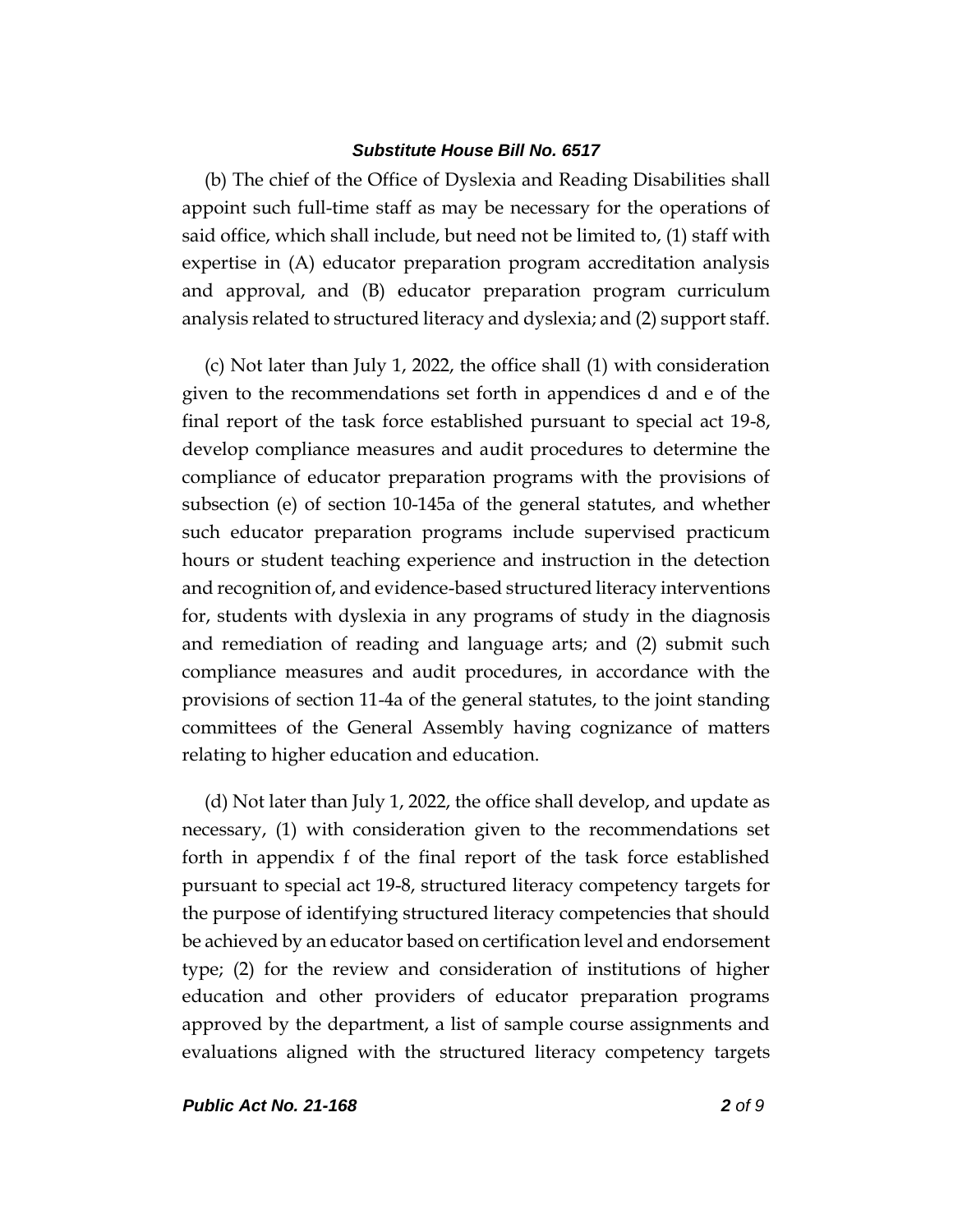(b) The chief of the Office of Dyslexia and Reading Disabilities shall appoint such full-time staff as may be necessary for the operations of said office, which shall include, but need not be limited to, (1) staff with expertise in (A) educator preparation program accreditation analysis and approval, and (B) educator preparation program curriculum analysis related to structured literacy and dyslexia; and (2) support staff.

(c) Not later than July 1, 2022, the office shall (1) with consideration given to the recommendations set forth in appendices d and e of the final report of the task force established pursuant to special act 19-8, develop compliance measures and audit procedures to determine the compliance of educator preparation programs with the provisions of subsection (e) of section 10-145a of the general statutes, and whether such educator preparation programs include supervised practicum hours or student teaching experience and instruction in the detection and recognition of, and evidence-based structured literacy interventions for, students with dyslexia in any programs of study in the diagnosis and remediation of reading and language arts; and (2) submit such compliance measures and audit procedures, in accordance with the provisions of section 11-4a of the general statutes, to the joint standing committees of the General Assembly having cognizance of matters relating to higher education and education.

(d) Not later than July 1, 2022, the office shall develop, and update as necessary, (1) with consideration given to the recommendations set forth in appendix f of the final report of the task force established pursuant to special act 19-8, structured literacy competency targets for the purpose of identifying structured literacy competencies that should be achieved by an educator based on certification level and endorsement type; (2) for the review and consideration of institutions of higher education and other providers of educator preparation programs approved by the department, a list of sample course assignments and evaluations aligned with the structured literacy competency targets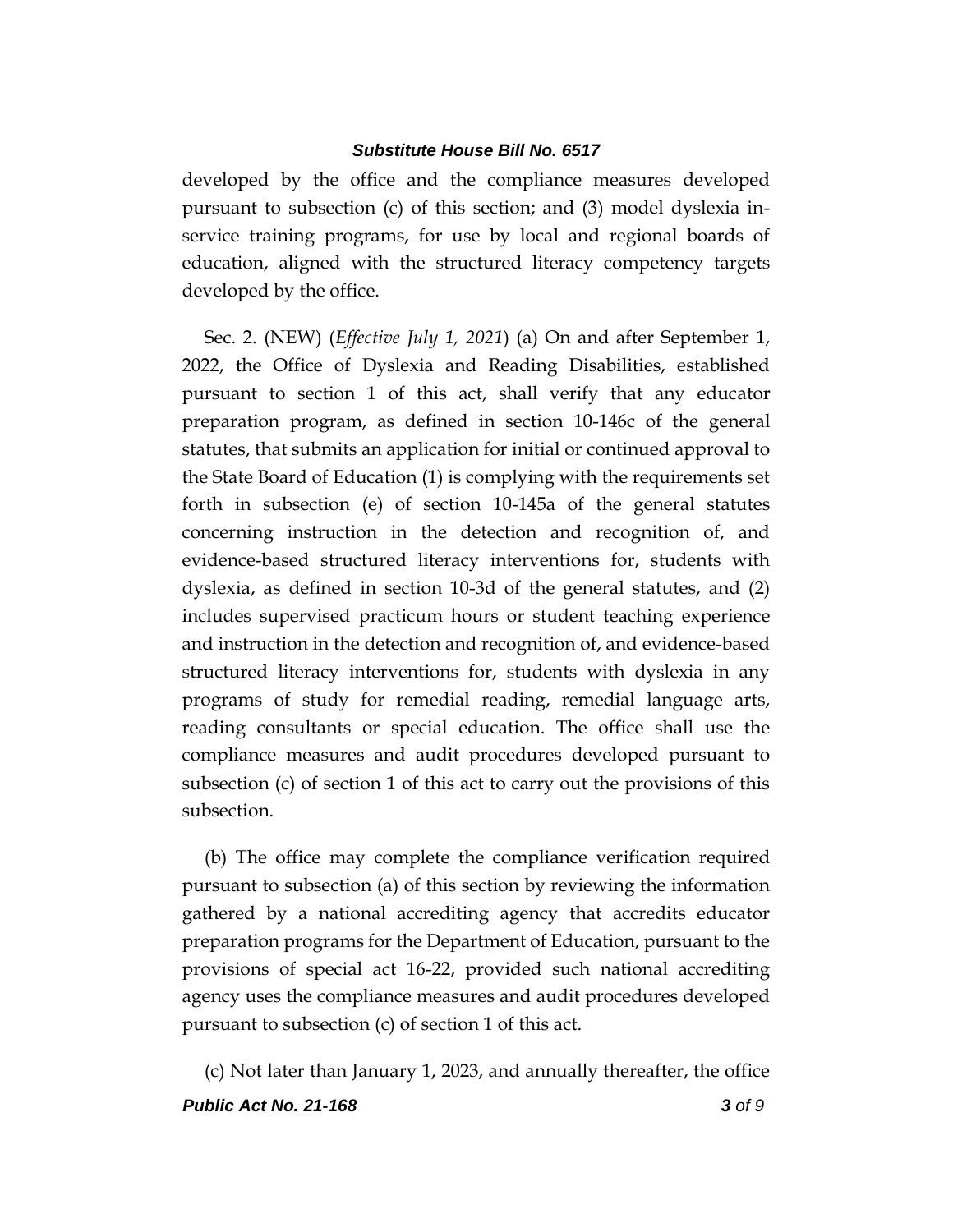developed by the office and the compliance measures developed pursuant to subsection (c) of this section; and (3) model dyslexia inservice training programs, for use by local and regional boards of education, aligned with the structured literacy competency targets developed by the office.

Sec. 2. (NEW) (*Effective July 1, 2021*) (a) On and after September 1, 2022, the Office of Dyslexia and Reading Disabilities, established pursuant to section 1 of this act, shall verify that any educator preparation program, as defined in section 10-146c of the general statutes, that submits an application for initial or continued approval to the State Board of Education (1) is complying with the requirements set forth in subsection (e) of section 10-145a of the general statutes concerning instruction in the detection and recognition of, and evidence-based structured literacy interventions for, students with dyslexia, as defined in section 10-3d of the general statutes, and (2) includes supervised practicum hours or student teaching experience and instruction in the detection and recognition of, and evidence-based structured literacy interventions for, students with dyslexia in any programs of study for remedial reading, remedial language arts, reading consultants or special education. The office shall use the compliance measures and audit procedures developed pursuant to subsection (c) of section 1 of this act to carry out the provisions of this subsection.

(b) The office may complete the compliance verification required pursuant to subsection (a) of this section by reviewing the information gathered by a national accrediting agency that accredits educator preparation programs for the Department of Education, pursuant to the provisions of special act 16-22, provided such national accrediting agency uses the compliance measures and audit procedures developed pursuant to subsection (c) of section 1 of this act.

*Public Act No. 21-168 3 of 9* (c) Not later than January 1, 2023, and annually thereafter, the office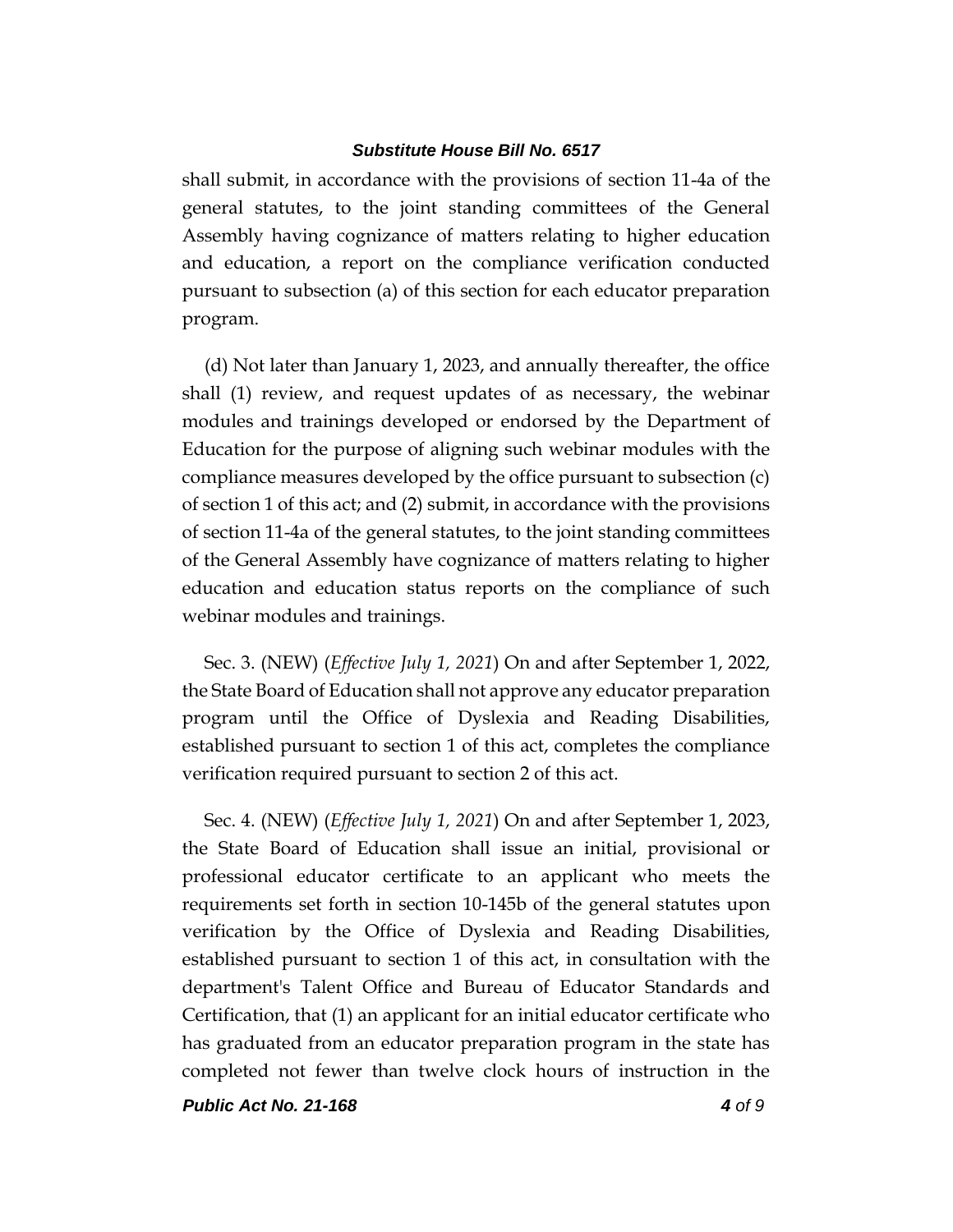shall submit, in accordance with the provisions of section 11-4a of the general statutes, to the joint standing committees of the General Assembly having cognizance of matters relating to higher education and education, a report on the compliance verification conducted pursuant to subsection (a) of this section for each educator preparation program.

(d) Not later than January 1, 2023, and annually thereafter, the office shall (1) review, and request updates of as necessary, the webinar modules and trainings developed or endorsed by the Department of Education for the purpose of aligning such webinar modules with the compliance measures developed by the office pursuant to subsection (c) of section 1 of this act; and (2) submit, in accordance with the provisions of section 11-4a of the general statutes, to the joint standing committees of the General Assembly have cognizance of matters relating to higher education and education status reports on the compliance of such webinar modules and trainings.

Sec. 3. (NEW) (*Effective July 1, 2021*) On and after September 1, 2022, the State Board of Education shall not approve any educator preparation program until the Office of Dyslexia and Reading Disabilities, established pursuant to section 1 of this act, completes the compliance verification required pursuant to section 2 of this act.

Sec. 4. (NEW) (*Effective July 1, 2021*) On and after September 1, 2023, the State Board of Education shall issue an initial, provisional or professional educator certificate to an applicant who meets the requirements set forth in section 10-145b of the general statutes upon verification by the Office of Dyslexia and Reading Disabilities, established pursuant to section 1 of this act, in consultation with the department's Talent Office and Bureau of Educator Standards and Certification, that (1) an applicant for an initial educator certificate who has graduated from an educator preparation program in the state has completed not fewer than twelve clock hours of instruction in the

*Public Act No. 21-168 4 of 9*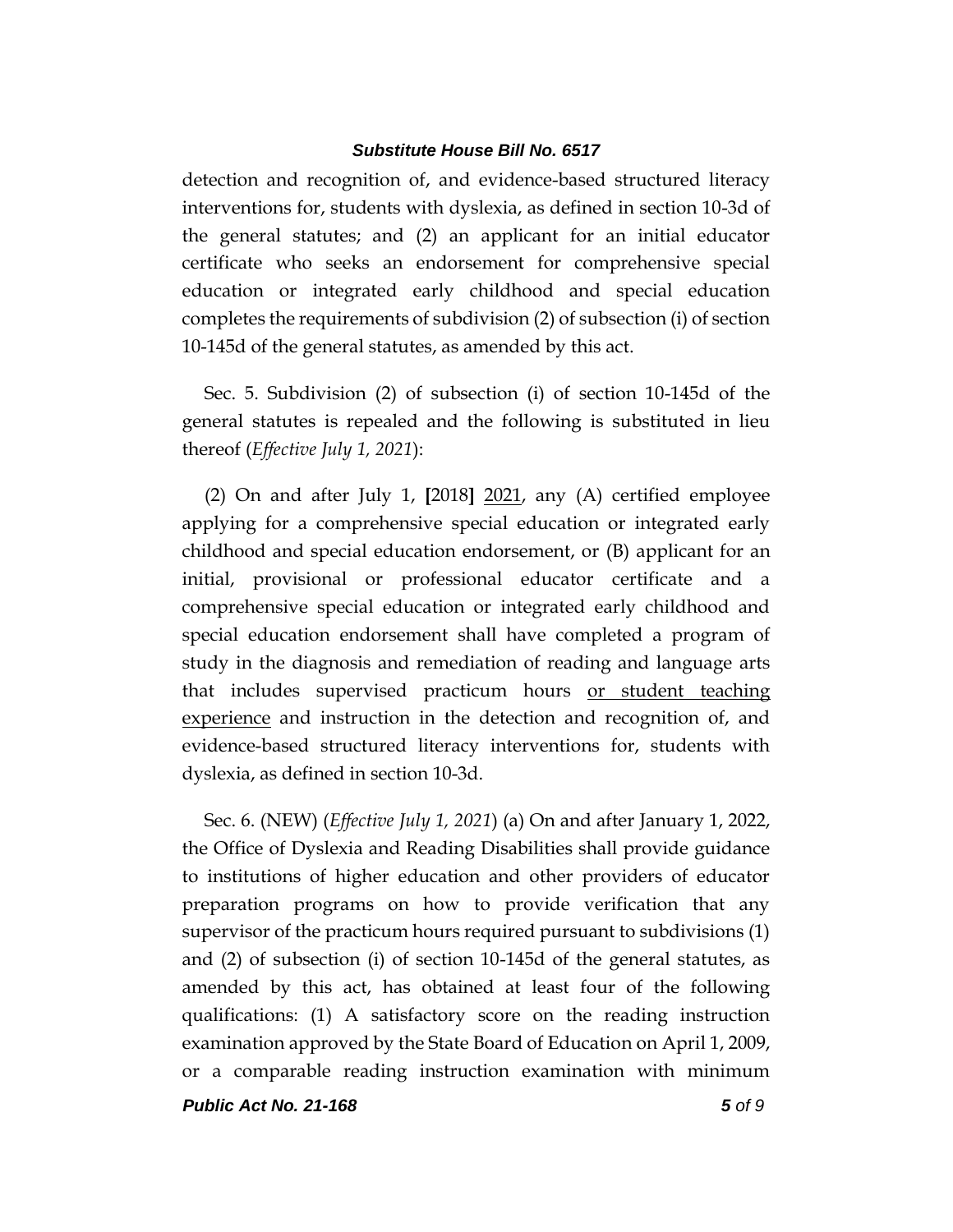detection and recognition of, and evidence-based structured literacy interventions for, students with dyslexia, as defined in section 10-3d of the general statutes; and (2) an applicant for an initial educator certificate who seeks an endorsement for comprehensive special education or integrated early childhood and special education completes the requirements of subdivision (2) of subsection (i) of section 10-145d of the general statutes, as amended by this act.

Sec. 5. Subdivision (2) of subsection (i) of section 10-145d of the general statutes is repealed and the following is substituted in lieu thereof (*Effective July 1, 2021*):

(2) On and after July 1, **[**2018**]** 2021, any (A) certified employee applying for a comprehensive special education or integrated early childhood and special education endorsement, or (B) applicant for an initial, provisional or professional educator certificate and a comprehensive special education or integrated early childhood and special education endorsement shall have completed a program of study in the diagnosis and remediation of reading and language arts that includes supervised practicum hours or student teaching experience and instruction in the detection and recognition of, and evidence-based structured literacy interventions for, students with dyslexia, as defined in section 10-3d.

Sec. 6. (NEW) (*Effective July 1, 2021*) (a) On and after January 1, 2022, the Office of Dyslexia and Reading Disabilities shall provide guidance to institutions of higher education and other providers of educator preparation programs on how to provide verification that any supervisor of the practicum hours required pursuant to subdivisions (1) and (2) of subsection (i) of section 10-145d of the general statutes, as amended by this act, has obtained at least four of the following qualifications: (1) A satisfactory score on the reading instruction examination approved by the State Board of Education on April 1, 2009, or a comparable reading instruction examination with minimum

*Public Act No. 21-168 5 of 9*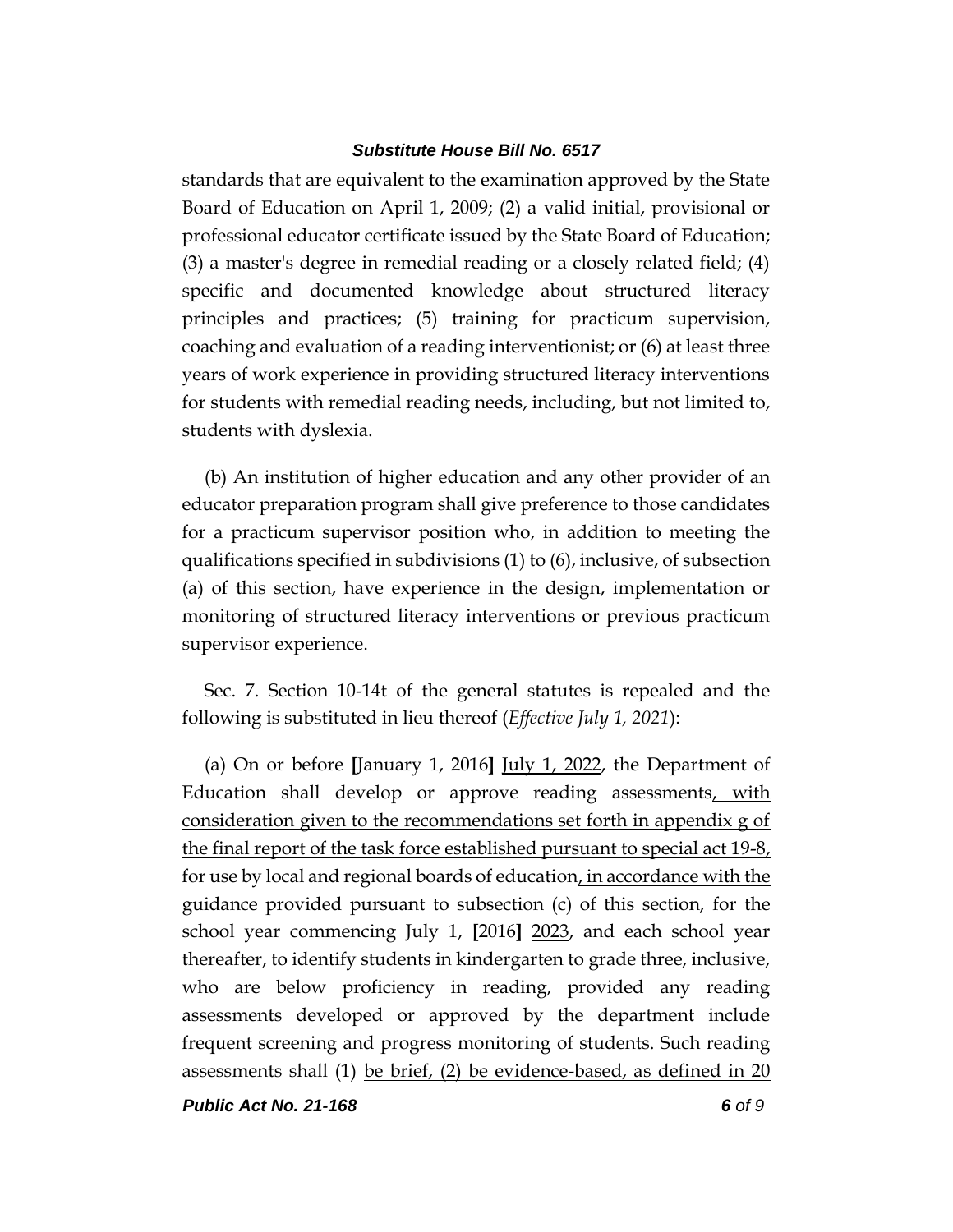standards that are equivalent to the examination approved by the State Board of Education on April 1, 2009; (2) a valid initial, provisional or professional educator certificate issued by the State Board of Education; (3) a master's degree in remedial reading or a closely related field; (4) specific and documented knowledge about structured literacy principles and practices; (5) training for practicum supervision, coaching and evaluation of a reading interventionist; or (6) at least three years of work experience in providing structured literacy interventions for students with remedial reading needs, including, but not limited to, students with dyslexia.

(b) An institution of higher education and any other provider of an educator preparation program shall give preference to those candidates for a practicum supervisor position who, in addition to meeting the qualifications specified in subdivisions (1) to (6), inclusive, of subsection (a) of this section, have experience in the design, implementation or monitoring of structured literacy interventions or previous practicum supervisor experience.

Sec. 7. Section 10-14t of the general statutes is repealed and the following is substituted in lieu thereof (*Effective July 1, 2021*):

(a) On or before **[**January 1, 2016**]** July 1, 2022, the Department of Education shall develop or approve reading assessments, with consideration given to the recommendations set forth in appendix g of the final report of the task force established pursuant to special act 19-8, for use by local and regional boards of education, in accordance with the guidance provided pursuant to subsection (c) of this section, for the school year commencing July 1, **[**2016**]** 2023, and each school year thereafter, to identify students in kindergarten to grade three, inclusive, who are below proficiency in reading, provided any reading assessments developed or approved by the department include frequent screening and progress monitoring of students. Such reading assessments shall (1) be brief, (2) be evidence-based, as defined in 20

*Public Act No. 21-168 6 of 9*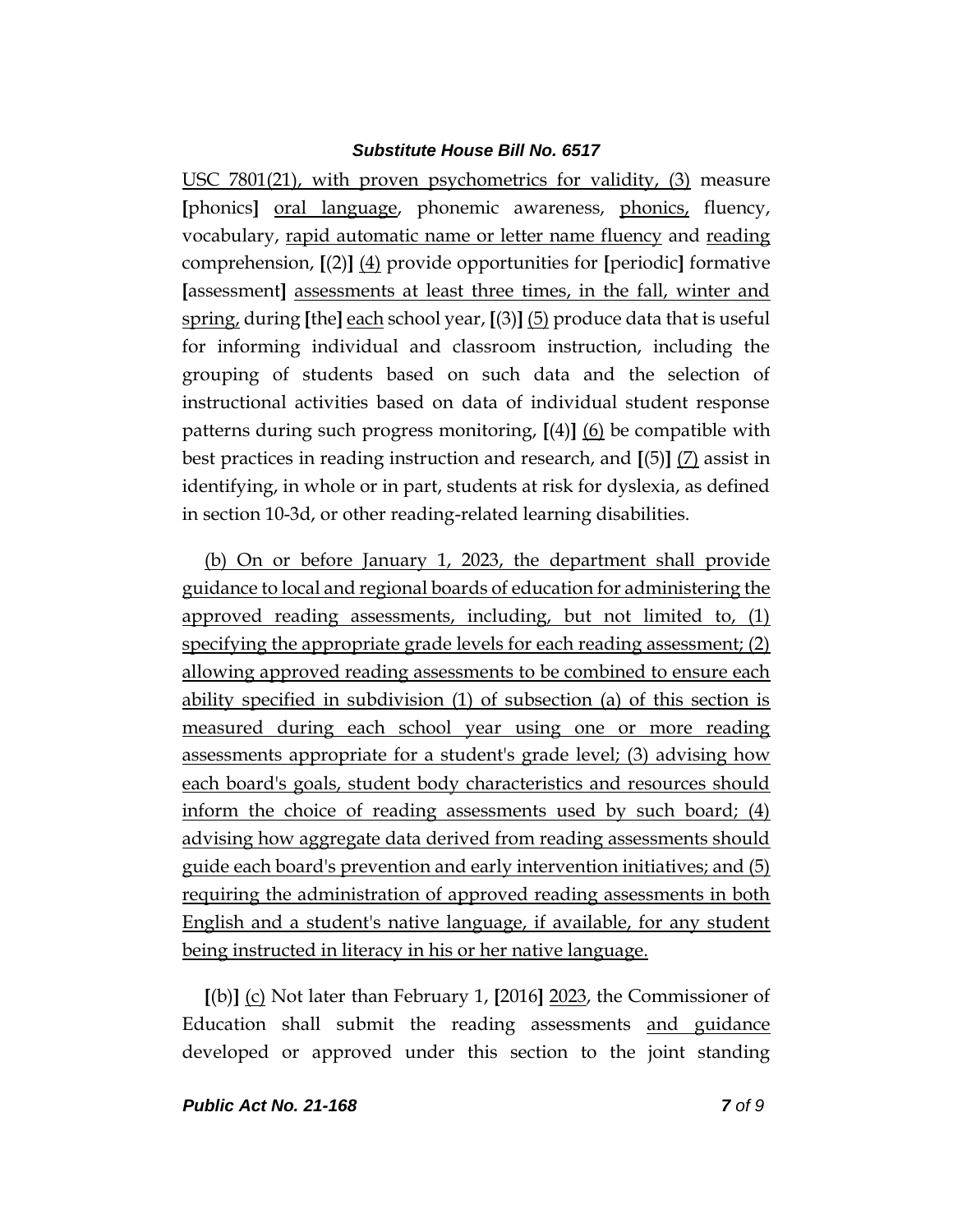USC 7801(21), with proven psychometrics for validity, (3) measure **[**phonics**]** oral language, phonemic awareness, phonics, fluency, vocabulary, rapid automatic name or letter name fluency and reading comprehension, **[**(2)**]** (4) provide opportunities for **[**periodic**]** formative **[**assessment**]** assessments at least three times, in the fall, winter and spring, during **[**the**]** each school year, **[**(3)**]** (5) produce data that is useful for informing individual and classroom instruction, including the grouping of students based on such data and the selection of instructional activities based on data of individual student response patterns during such progress monitoring, **[**(4)**]** (6) be compatible with best practices in reading instruction and research, and **[**(5)**]** (7) assist in identifying, in whole or in part, students at risk for dyslexia, as defined in section 10-3d, or other reading-related learning disabilities.

(b) On or before January 1, 2023, the department shall provide guidance to local and regional boards of education for administering the approved reading assessments, including, but not limited to, (1) specifying the appropriate grade levels for each reading assessment; (2) allowing approved reading assessments to be combined to ensure each ability specified in subdivision (1) of subsection (a) of this section is measured during each school year using one or more reading assessments appropriate for a student's grade level; (3) advising how each board's goals, student body characteristics and resources should inform the choice of reading assessments used by such board; (4) advising how aggregate data derived from reading assessments should guide each board's prevention and early intervention initiatives; and (5) requiring the administration of approved reading assessments in both English and a student's native language, if available, for any student being instructed in literacy in his or her native language.

**[**(b)**]** (c) Not later than February 1, **[**2016**]** 2023, the Commissioner of Education shall submit the reading assessments and guidance developed or approved under this section to the joint standing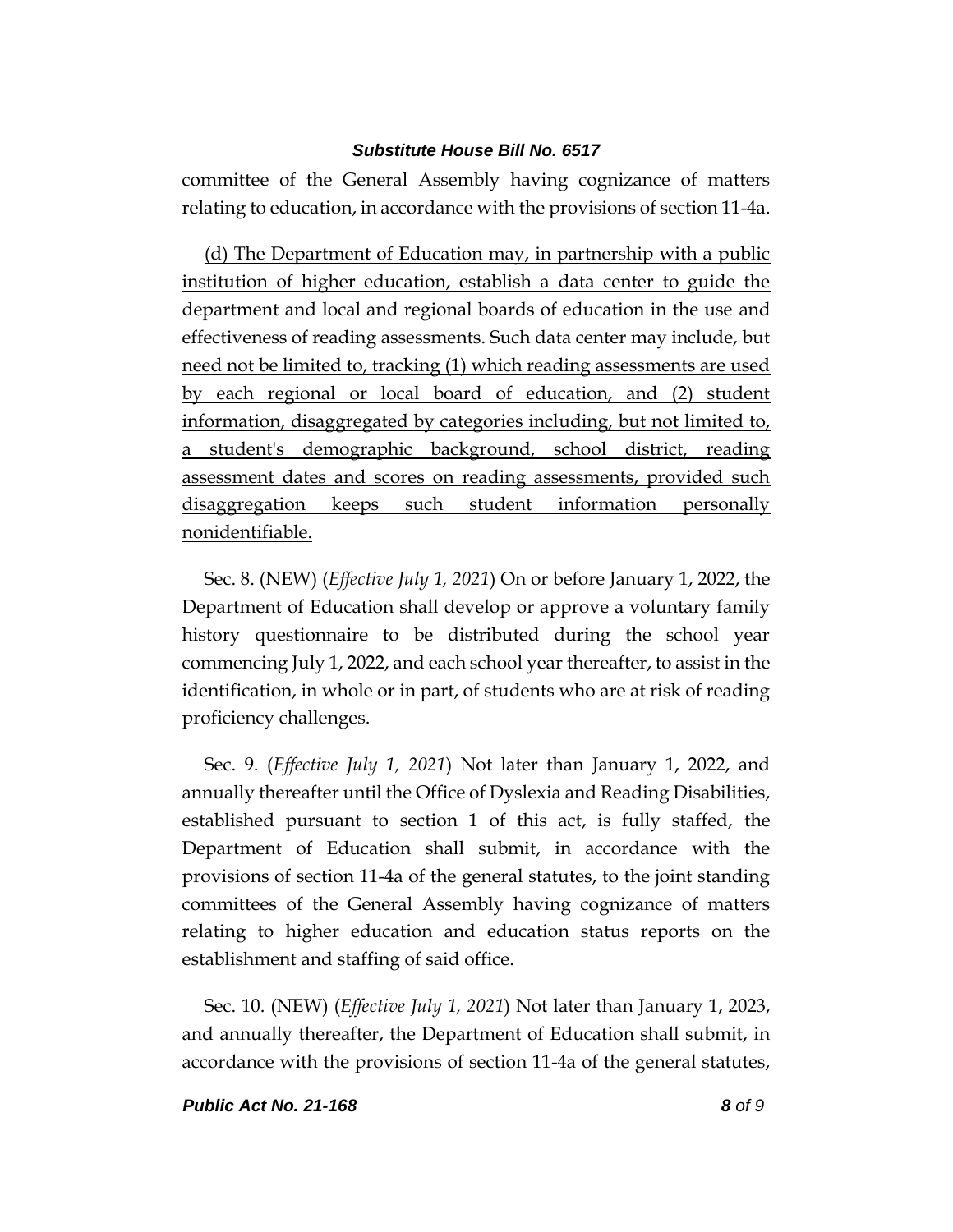committee of the General Assembly having cognizance of matters relating to education, in accordance with the provisions of section 11-4a.

(d) The Department of Education may, in partnership with a public institution of higher education, establish a data center to guide the department and local and regional boards of education in the use and effectiveness of reading assessments. Such data center may include, but need not be limited to, tracking (1) which reading assessments are used by each regional or local board of education, and (2) student information, disaggregated by categories including, but not limited to, a student's demographic background, school district, reading assessment dates and scores on reading assessments, provided such disaggregation keeps such student information personally nonidentifiable.

Sec. 8. (NEW) (*Effective July 1, 2021*) On or before January 1, 2022, the Department of Education shall develop or approve a voluntary family history questionnaire to be distributed during the school year commencing July 1, 2022, and each school year thereafter, to assist in the identification, in whole or in part, of students who are at risk of reading proficiency challenges.

Sec. 9. (*Effective July 1, 2021*) Not later than January 1, 2022, and annually thereafter until the Office of Dyslexia and Reading Disabilities, established pursuant to section 1 of this act, is fully staffed, the Department of Education shall submit, in accordance with the provisions of section 11-4a of the general statutes, to the joint standing committees of the General Assembly having cognizance of matters relating to higher education and education status reports on the establishment and staffing of said office.

Sec. 10. (NEW) (*Effective July 1, 2021*) Not later than January 1, 2023, and annually thereafter, the Department of Education shall submit, in accordance with the provisions of section 11-4a of the general statutes,